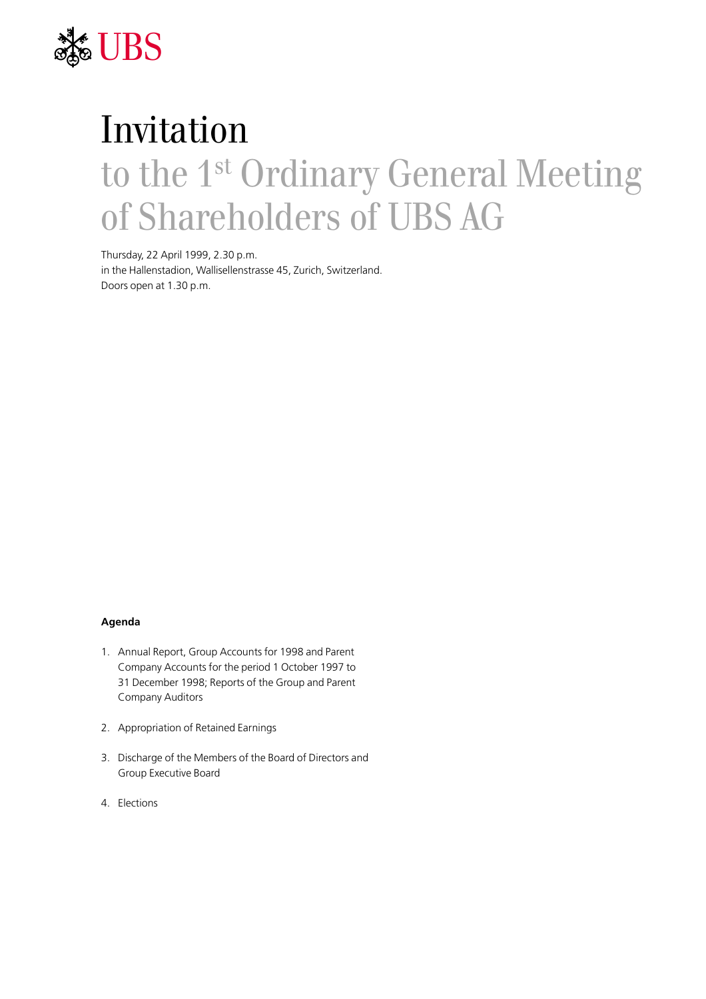

# Invitation to the 1st Ordinary General Meeting of Shareholders of UBS AG

Thursday, 22 April 1999, 2.30 p.m. in the Hallenstadion, Wallisellenstrasse 45, Zurich, Switzerland. Doors open at 1.30 p.m.

#### **Agenda**

- 1. Annual Report, Group Accounts for 1998 and Parent Company Accounts for the period 1 October 1997 to 31 December 1998; Reports of the Group and Parent Company Auditors
- 2. Appropriation of Retained Earnings
- 3. Discharge of the Members of the Board of Directors and Group Executive Board
- 4. Elections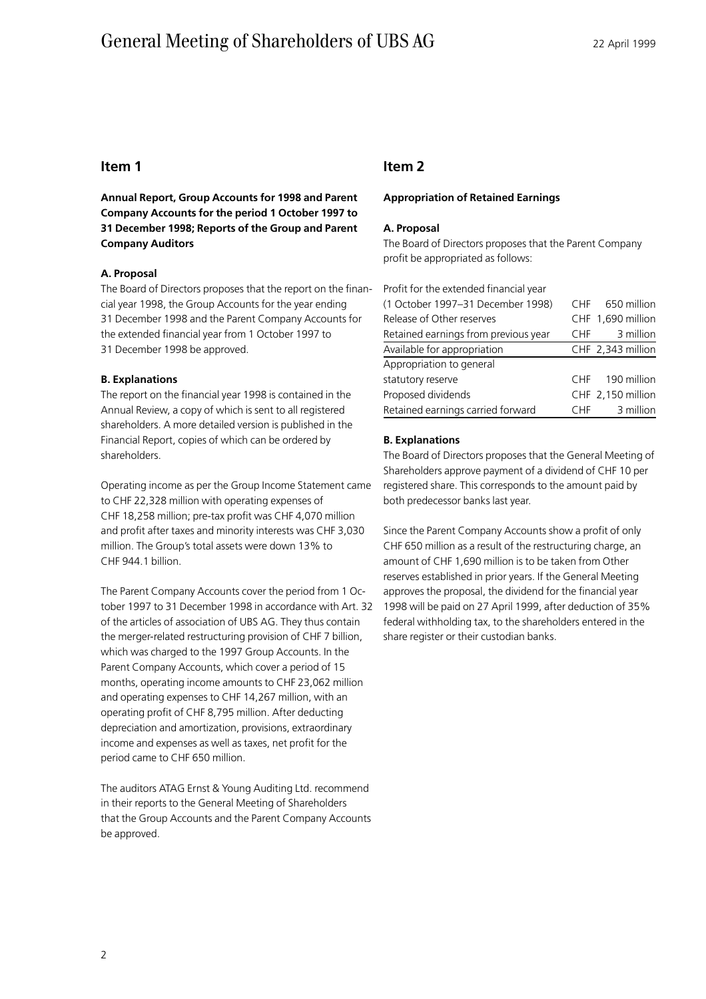# General Meeting of Shareholders of UBS AG 22 April 1999

# **Item 1**

**Annual Report, Group Accounts for 1998 and Parent Company Accounts for the period 1 October 1997 to 31 December 1998; Reports of the Group and Parent Company Auditors**

### **A. Proposal**

The Board of Directors proposes that the report on the financial year 1998, the Group Accounts for the year ending 31 December 1998 and the Parent Company Accounts for the extended financial year from 1 October 1997 to 31 December 1998 be approved.

### **B. Explanations**

The report on the financial year 1998 is contained in the Annual Review, a copy of which is sent to all registered shareholders. A more detailed version is published in the Financial Report, copies of which can be ordered by shareholders.

Operating income as per the Group Income Statement came to CHF 22,328 million with operating expenses of CHF 18,258 million; pre-tax profit was CHF 4,070 million and profit after taxes and minority interests was CHF 3,030 million. The Group's total assets were down 13% to CHF 944.1 billion.

The Parent Company Accounts cover the period from 1 October 1997 to 31 December 1998 in accordance with Art. 32 of the articles of association of UBS AG. They thus contain the merger-related restructuring provision of CHF 7 billion, which was charged to the 1997 Group Accounts. In the Parent Company Accounts, which cover a period of 15 months, operating income amounts to CHF 23,062 million and operating expenses to CHF 14,267 million, with an operating profit of CHF 8,795 million. After deducting depreciation and amortization, provisions, extraordinary income and expenses as well as taxes, net profit for the period came to CHF 650 million.

The auditors ATAG Ernst & Young Auditing Ltd. recommend in their reports to the General Meeting of Shareholders that the Group Accounts and the Parent Company Accounts be approved.

# **Item 2**

#### **Appropriation of Retained Earnings**

### **A. Proposal**

The Board of Directors proposes that the Parent Company profit be appropriated as follows:

| Profit for the extended financial year |                 |                   |
|----------------------------------------|-----------------|-------------------|
| (1 October 1997-31 December 1998)      | <b>CHF</b>      | 650 million       |
| Release of Other reserves              |                 | CHF 1,690 million |
| Retained earnings from previous year   | CHF             | 3 million         |
| Available for appropriation            |                 | CHF 2,343 million |
| Appropriation to general               |                 |                   |
| statutory reserve                      | C <sub>HF</sub> | 190 million       |
| Proposed dividends                     |                 | CHF 2,150 million |
| Retained earnings carried forward      | CHF.            | 3 million         |

### **B. Explanations**

The Board of Directors proposes that the General Meeting of Shareholders approve payment of a dividend of CHF 10 per registered share. This corresponds to the amount paid by both predecessor banks last year.

Since the Parent Company Accounts show a profit of only CHF 650 million as a result of the restructuring charge, an amount of CHF 1,690 million is to be taken from Other reserves established in prior years. If the General Meeting approves the proposal, the dividend for the financial year 1998 will be paid on 27 April 1999, after deduction of 35% federal withholding tax, to the shareholders entered in the share register or their custodian banks.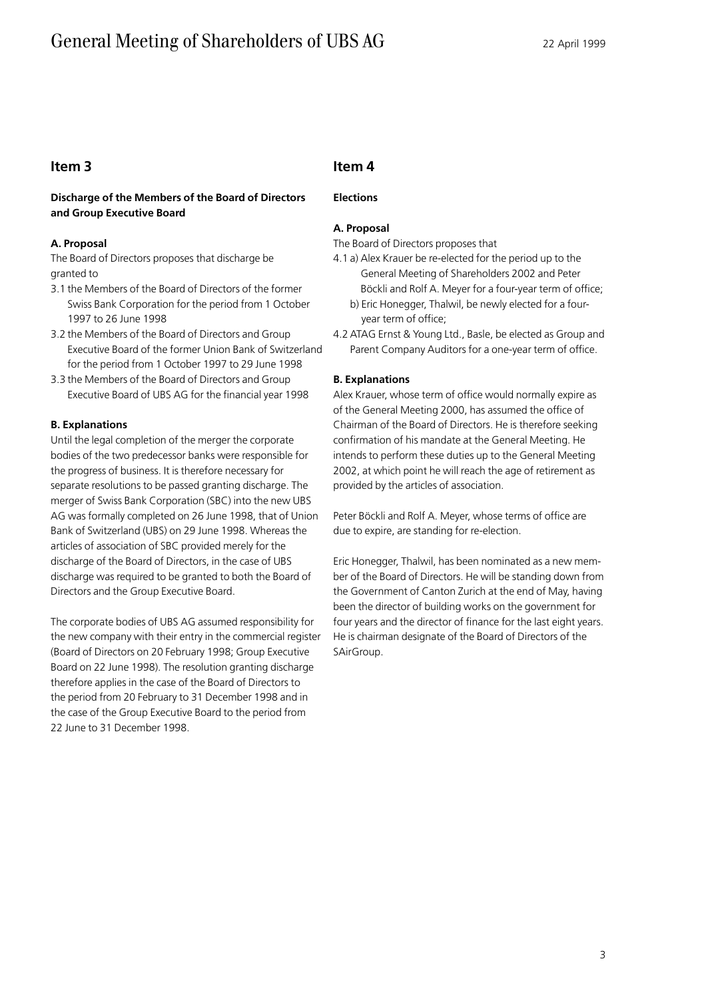# General Meeting of Shareholders of UBS AG 22 April 1999

# **Item 3**

# **Discharge of the Members of the Board of Directors and Group Executive Board**

### **A. Proposal**

The Board of Directors proposes that discharge be granted to

- 3.1 the Members of the Board of Directors of the former Swiss Bank Corporation for the period from 1 October 1997 to 26 June 1998
- 3.2 the Members of the Board of Directors and Group Executive Board of the former Union Bank of Switzerland for the period from 1 October 1997 to 29 June 1998
- 3.3 the Members of the Board of Directors and Group Executive Board of UBS AG for the financial year 1998

## **B. Explanations**

Until the legal completion of the merger the corporate bodies of the two predecessor banks were responsible for the progress of business. It is therefore necessary for separate resolutions to be passed granting discharge. The merger of Swiss Bank Corporation (SBC) into the new UBS AG was formally completed on 26 June 1998, that of Union Bank of Switzerland (UBS) on 29 June 1998. Whereas the articles of association of SBC provided merely for the discharge of the Board of Directors, in the case of UBS discharge was required to be granted to both the Board of Directors and the Group Executive Board.

The corporate bodies of UBS AG assumed responsibility for the new company with their entry in the commercial register (Board of Directors on 20 February 1998; Group Executive Board on 22 June 1998). The resolution granting discharge therefore applies in the case of the Board of Directors to the period from 20 February to 31 December 1998 and in the case of the Group Executive Board to the period from 22 June to 31 December 1998.

# **Item 4**

# **Elections**

# **A. Proposal**

The Board of Directors proposes that

- 4.1 a) Alex Krauer be re-elected for the period up to the General Meeting of Shareholders 2002 and Peter Böckli and Rolf A. Meyer for a four-year term of office;
	- b) Eric Honegger, Thalwil, be newly elected for a fouryear term of office;
- 4.2 ATAG Ernst & Young Ltd., Basle, be elected as Group and Parent Company Auditors for a one-year term of office.

## **B. Explanations**

Alex Krauer, whose term of office would normally expire as of the General Meeting 2000, has assumed the office of Chairman of the Board of Directors. He is therefore seeking confirmation of his mandate at the General Meeting. He intends to perform these duties up to the General Meeting 2002, at which point he will reach the age of retirement as provided by the articles of association.

Peter Böckli and Rolf A. Meyer, whose terms of office are due to expire, are standing for re-election.

Eric Honegger, Thalwil, has been nominated as a new member of the Board of Directors. He will be standing down from the Government of Canton Zurich at the end of May, having been the director of building works on the government for four years and the director of finance for the last eight years. He is chairman designate of the Board of Directors of the SAirGroup.